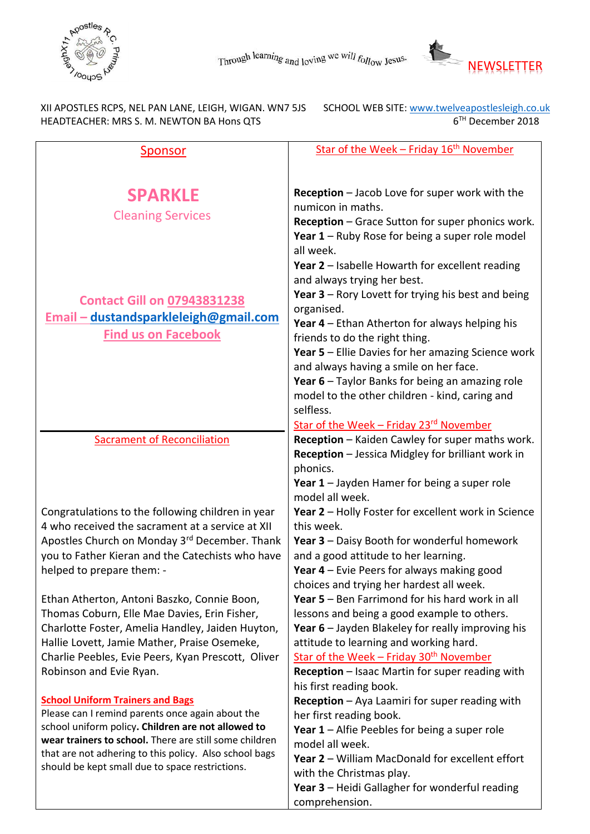



XII APOSTLES RCPS, NEL PAN LANE, LEIGH, WIGAN. WN7 5JS HEADTEACHER: MRS S. M. NEWTON BA Hons QTS 6

SCHOOL WEB SITE: www.twelveapostlesleigh.co.uk<br>6<sup>TH</sup> December 2018

| <u>Sponsor</u>                                                                | Star of the Week - Friday 16 <sup>th</sup> November                                           |
|-------------------------------------------------------------------------------|-----------------------------------------------------------------------------------------------|
|                                                                               |                                                                                               |
|                                                                               |                                                                                               |
| <b>SPARKLE</b>                                                                | Reception - Jacob Love for super work with the                                                |
| <b>Cleaning Services</b>                                                      | numicon in maths.                                                                             |
|                                                                               | Reception - Grace Sutton for super phonics work.                                              |
|                                                                               | Year 1 - Ruby Rose for being a super role model                                               |
|                                                                               | all week.                                                                                     |
|                                                                               | Year 2 - Isabelle Howarth for excellent reading                                               |
|                                                                               | and always trying her best.                                                                   |
| <b>Contact Gill on 07943831238</b>                                            | Year $3$ – Rory Lovett for trying his best and being                                          |
| Email - dustandsparkleleigh@gmail.com                                         | organised.                                                                                    |
| <b>Find us on Facebook</b>                                                    | Year 4 – Ethan Atherton for always helping his<br>friends to do the right thing.              |
|                                                                               | <b>Year 5 - Ellie Davies for her amazing Science work</b>                                     |
|                                                                               | and always having a smile on her face.                                                        |
|                                                                               | Year 6 - Taylor Banks for being an amazing role                                               |
|                                                                               | model to the other children - kind, caring and                                                |
|                                                                               | selfless.                                                                                     |
|                                                                               | Star of the Week - Friday 23 <sup>rd</sup> November                                           |
| <b>Sacrament of Reconciliation</b>                                            | Reception - Kaiden Cawley for super maths work.                                               |
|                                                                               | Reception - Jessica Midgley for brilliant work in                                             |
|                                                                               | phonics.                                                                                      |
|                                                                               | Year $1$ – Jayden Hamer for being a super role                                                |
|                                                                               | model all week.                                                                               |
| Congratulations to the following children in year                             | Year 2 - Holly Foster for excellent work in Science                                           |
| 4 who received the sacrament at a service at XII                              | this week.                                                                                    |
| Apostles Church on Monday 3rd December. Thank                                 | <b>Year 3 - Daisy Booth for wonderful homework</b>                                            |
| you to Father Kieran and the Catechists who have                              | and a good attitude to her learning.                                                          |
| helped to prepare them: -                                                     | Year $4$ – Evie Peers for always making good                                                  |
|                                                                               | choices and trying her hardest all week.                                                      |
| Ethan Atherton, Antoni Baszko, Connie Boon,                                   | <b>Year 5</b> – Ben Farrimond for his hard work in all                                        |
| Thomas Coburn, Elle Mae Davies, Erin Fisher,                                  | lessons and being a good example to others.                                                   |
| Charlotte Foster, Amelia Handley, Jaiden Huyton,                              | Year 6 - Jayden Blakeley for really improving his                                             |
| Hallie Lovett, Jamie Mather, Praise Osemeke,                                  | attitude to learning and working hard.<br>Star of the Week - Friday 30 <sup>th</sup> November |
| Charlie Peebles, Evie Peers, Kyan Prescott, Oliver<br>Robinson and Evie Ryan. | Reception - Isaac Martin for super reading with                                               |
|                                                                               | his first reading book.                                                                       |
| <b>School Uniform Trainers and Bags</b>                                       | Reception - Aya Laamiri for super reading with                                                |
| Please can I remind parents once again about the                              | her first reading book.                                                                       |
| school uniform policy. Children are not allowed to                            | Year 1 - Alfie Peebles for being a super role                                                 |
| wear trainers to school. There are still some children                        | model all week.                                                                               |
| that are not adhering to this policy. Also school bags                        | Year 2 - William MacDonald for excellent effort                                               |
| should be kept small due to space restrictions.                               | with the Christmas play.                                                                      |
|                                                                               | Year 3 - Heidi Gallagher for wonderful reading                                                |
|                                                                               | comprehension.                                                                                |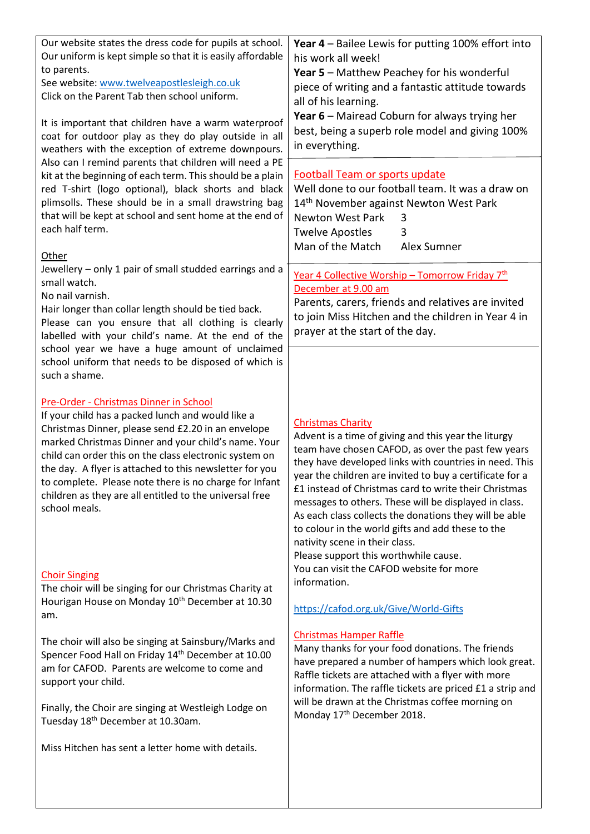| Our website states the dress code for pupils at school.<br>Our uniform is kept simple so that it is easily affordable<br>to parents.<br>See website: www.twelveapostlesleigh.co.uk<br>Click on the Parent Tab then school uniform.                                                                                                                                                                                                                                  | Year 4 - Bailee Lewis for putting 100% effort into<br>his work all week!<br>Year 5 - Matthew Peachey for his wonderful<br>piece of writing and a fantastic attitude towards<br>all of his learning.                                                                                                                                                                                                                                                                                                                                                                      |
|---------------------------------------------------------------------------------------------------------------------------------------------------------------------------------------------------------------------------------------------------------------------------------------------------------------------------------------------------------------------------------------------------------------------------------------------------------------------|--------------------------------------------------------------------------------------------------------------------------------------------------------------------------------------------------------------------------------------------------------------------------------------------------------------------------------------------------------------------------------------------------------------------------------------------------------------------------------------------------------------------------------------------------------------------------|
| It is important that children have a warm waterproof<br>coat for outdoor play as they do play outside in all<br>weathers with the exception of extreme downpours.                                                                                                                                                                                                                                                                                                   | Year 6 - Mairead Coburn for always trying her<br>best, being a superb role model and giving 100%<br>in everything.                                                                                                                                                                                                                                                                                                                                                                                                                                                       |
| Also can I remind parents that children will need a PE<br>kit at the beginning of each term. This should be a plain<br>red T-shirt (logo optional), black shorts and black<br>plimsolls. These should be in a small drawstring bag<br>that will be kept at school and sent home at the end of<br>each half term.<br>Other                                                                                                                                           | <b>Football Team or sports update</b><br>Well done to our football team. It was a draw on<br>14 <sup>th</sup> November against Newton West Park<br><b>Newton West Park</b><br>3<br><b>Twelve Apostles</b><br>3<br>Man of the Match<br>Alex Sumner                                                                                                                                                                                                                                                                                                                        |
| Jewellery - only 1 pair of small studded earrings and a<br>small watch.<br>No nail varnish.<br>Hair longer than collar length should be tied back.<br>Please can you ensure that all clothing is clearly<br>labelled with your child's name. At the end of the<br>school year we have a huge amount of unclaimed                                                                                                                                                    | Year 4 Collective Worship - Tomorrow Friday 7th<br>December at 9.00 am<br>Parents, carers, friends and relatives are invited<br>to join Miss Hitchen and the children in Year 4 in<br>prayer at the start of the day.                                                                                                                                                                                                                                                                                                                                                    |
| school uniform that needs to be disposed of which is<br>such a shame.                                                                                                                                                                                                                                                                                                                                                                                               |                                                                                                                                                                                                                                                                                                                                                                                                                                                                                                                                                                          |
| Pre-Order - Christmas Dinner in School<br>If your child has a packed lunch and would like a<br>Christmas Dinner, please send £2.20 in an envelope<br>marked Christmas Dinner and your child's name. Your<br>child can order this on the class electronic system on<br>the day. A flyer is attached to this newsletter for you<br>to complete. Please note there is no charge for Infant<br>children as they are all entitled to the universal free<br>school meals. | <b>Christmas Charity</b><br>Advent is a time of giving and this year the liturgy<br>team have chosen CAFOD, as over the past few years<br>they have developed links with countries in need. This<br>year the children are invited to buy a certificate for a<br>£1 instead of Christmas card to write their Christmas<br>messages to others. These will be displayed in class.<br>As each class collects the donations they will be able<br>to colour in the world gifts and add these to the<br>nativity scene in their class.<br>Please support this worthwhile cause. |
| <b>Choir Singing</b><br>The choir will be singing for our Christmas Charity at<br>Hourigan House on Monday 10 <sup>th</sup> December at 10.30<br>am.                                                                                                                                                                                                                                                                                                                | You can visit the CAFOD website for more<br>information.<br>https://cafod.org.uk/Give/World-Gifts                                                                                                                                                                                                                                                                                                                                                                                                                                                                        |
| The choir will also be singing at Sainsbury/Marks and<br>Spencer Food Hall on Friday 14th December at 10.00<br>am for CAFOD. Parents are welcome to come and<br>support your child.                                                                                                                                                                                                                                                                                 | <b>Christmas Hamper Raffle</b><br>Many thanks for your food donations. The friends<br>have prepared a number of hampers which look great.<br>Raffle tickets are attached with a flyer with more<br>information. The raffle tickets are priced £1 a strip and                                                                                                                                                                                                                                                                                                             |
| Finally, the Choir are singing at Westleigh Lodge on<br>Tuesday 18 <sup>th</sup> December at 10.30am.                                                                                                                                                                                                                                                                                                                                                               | will be drawn at the Christmas coffee morning on<br>Monday 17 <sup>th</sup> December 2018.                                                                                                                                                                                                                                                                                                                                                                                                                                                                               |
| Miss Hitchen has sent a letter home with details.                                                                                                                                                                                                                                                                                                                                                                                                                   |                                                                                                                                                                                                                                                                                                                                                                                                                                                                                                                                                                          |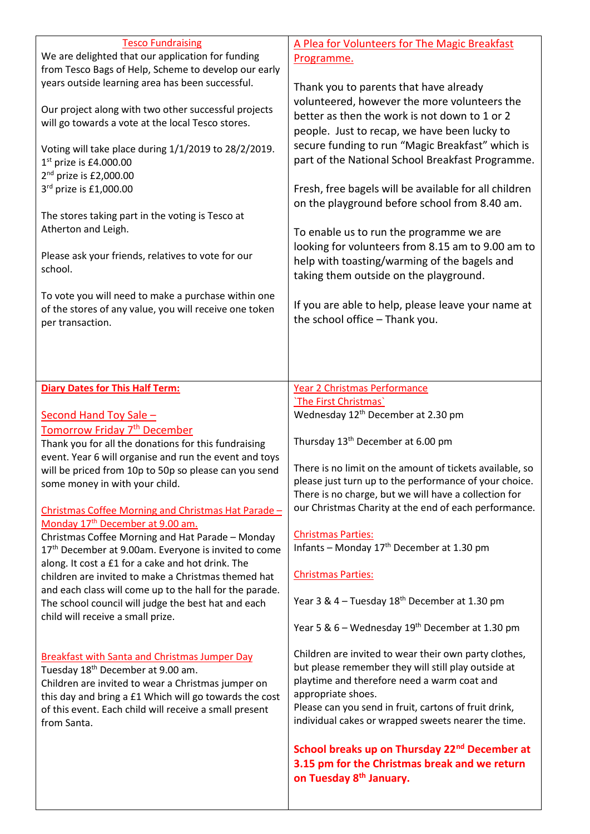| <b>Tesco Fundraising</b><br>We are delighted that our application for funding<br>from Tesco Bags of Help, Scheme to develop our early<br>years outside learning area has been successful.<br>Our project along with two other successful projects<br>will go towards a vote at the local Tesco stores.<br>Voting will take place during 1/1/2019 to 28/2/2019.<br>$1st$ prize is £4.000.00<br>$2nd$ prize is £2,000.00<br>3rd prize is £1,000.00<br>The stores taking part in the voting is Tesco at<br>Atherton and Leigh.<br>Please ask your friends, relatives to vote for our<br>school.<br>To vote you will need to make a purchase within one<br>of the stores of any value, you will receive one token<br>per transaction.<br><b>Diary Dates for This Half Term:</b> | A Plea for Volunteers for The Magic Breakfast<br>Programme.<br>Thank you to parents that have already<br>volunteered, however the more volunteers the<br>better as then the work is not down to 1 or 2<br>people. Just to recap, we have been lucky to<br>secure funding to run "Magic Breakfast" which is<br>part of the National School Breakfast Programme.<br>Fresh, free bagels will be available for all children<br>on the playground before school from 8.40 am.<br>To enable us to run the programme we are<br>looking for volunteers from 8.15 am to 9.00 am to<br>help with toasting/warming of the bagels and<br>taking them outside on the playground.<br>If you are able to help, please leave your name at<br>the school office - Thank you.<br>Year 2 Christmas Performance<br>'The First Christmas' |
|-----------------------------------------------------------------------------------------------------------------------------------------------------------------------------------------------------------------------------------------------------------------------------------------------------------------------------------------------------------------------------------------------------------------------------------------------------------------------------------------------------------------------------------------------------------------------------------------------------------------------------------------------------------------------------------------------------------------------------------------------------------------------------|----------------------------------------------------------------------------------------------------------------------------------------------------------------------------------------------------------------------------------------------------------------------------------------------------------------------------------------------------------------------------------------------------------------------------------------------------------------------------------------------------------------------------------------------------------------------------------------------------------------------------------------------------------------------------------------------------------------------------------------------------------------------------------------------------------------------|
|                                                                                                                                                                                                                                                                                                                                                                                                                                                                                                                                                                                                                                                                                                                                                                             |                                                                                                                                                                                                                                                                                                                                                                                                                                                                                                                                                                                                                                                                                                                                                                                                                      |
|                                                                                                                                                                                                                                                                                                                                                                                                                                                                                                                                                                                                                                                                                                                                                                             |                                                                                                                                                                                                                                                                                                                                                                                                                                                                                                                                                                                                                                                                                                                                                                                                                      |
| Second Hand Toy Sale -                                                                                                                                                                                                                                                                                                                                                                                                                                                                                                                                                                                                                                                                                                                                                      | Wednesday 12 <sup>th</sup> December at 2.30 pm                                                                                                                                                                                                                                                                                                                                                                                                                                                                                                                                                                                                                                                                                                                                                                       |
| Tomorrow Friday 7 <sup>th</sup> December                                                                                                                                                                                                                                                                                                                                                                                                                                                                                                                                                                                                                                                                                                                                    | Thursday 13 <sup>th</sup> December at 6.00 pm                                                                                                                                                                                                                                                                                                                                                                                                                                                                                                                                                                                                                                                                                                                                                                        |
| Thank you for all the donations for this fundraising<br>event. Year 6 will organise and run the event and toys                                                                                                                                                                                                                                                                                                                                                                                                                                                                                                                                                                                                                                                              |                                                                                                                                                                                                                                                                                                                                                                                                                                                                                                                                                                                                                                                                                                                                                                                                                      |
| will be priced from 10p to 50p so please can you send                                                                                                                                                                                                                                                                                                                                                                                                                                                                                                                                                                                                                                                                                                                       | There is no limit on the amount of tickets available, so                                                                                                                                                                                                                                                                                                                                                                                                                                                                                                                                                                                                                                                                                                                                                             |
| some money in with your child.                                                                                                                                                                                                                                                                                                                                                                                                                                                                                                                                                                                                                                                                                                                                              | please just turn up to the performance of your choice.                                                                                                                                                                                                                                                                                                                                                                                                                                                                                                                                                                                                                                                                                                                                                               |
|                                                                                                                                                                                                                                                                                                                                                                                                                                                                                                                                                                                                                                                                                                                                                                             | There is no charge, but we will have a collection for                                                                                                                                                                                                                                                                                                                                                                                                                                                                                                                                                                                                                                                                                                                                                                |
| Christmas Coffee Morning and Christmas Hat Parade-                                                                                                                                                                                                                                                                                                                                                                                                                                                                                                                                                                                                                                                                                                                          | our Christmas Charity at the end of each performance.                                                                                                                                                                                                                                                                                                                                                                                                                                                                                                                                                                                                                                                                                                                                                                |
| Monday 17 <sup>th</sup> December at 9.00 am.<br>Christmas Coffee Morning and Hat Parade - Monday                                                                                                                                                                                                                                                                                                                                                                                                                                                                                                                                                                                                                                                                            | <b>Christmas Parties:</b>                                                                                                                                                                                                                                                                                                                                                                                                                                                                                                                                                                                                                                                                                                                                                                                            |
| 17 <sup>th</sup> December at 9.00am. Everyone is invited to come                                                                                                                                                                                                                                                                                                                                                                                                                                                                                                                                                                                                                                                                                                            | Infants - Monday 17 <sup>th</sup> December at 1.30 pm                                                                                                                                                                                                                                                                                                                                                                                                                                                                                                                                                                                                                                                                                                                                                                |
| along. It cost a £1 for a cake and hot drink. The                                                                                                                                                                                                                                                                                                                                                                                                                                                                                                                                                                                                                                                                                                                           | <b>Christmas Parties:</b>                                                                                                                                                                                                                                                                                                                                                                                                                                                                                                                                                                                                                                                                                                                                                                                            |
| children are invited to make a Christmas themed hat<br>and each class will come up to the hall for the parade.                                                                                                                                                                                                                                                                                                                                                                                                                                                                                                                                                                                                                                                              |                                                                                                                                                                                                                                                                                                                                                                                                                                                                                                                                                                                                                                                                                                                                                                                                                      |
| The school council will judge the best hat and each                                                                                                                                                                                                                                                                                                                                                                                                                                                                                                                                                                                                                                                                                                                         | Year 3 & 4 – Tuesday 18 <sup>th</sup> December at 1.30 pm                                                                                                                                                                                                                                                                                                                                                                                                                                                                                                                                                                                                                                                                                                                                                            |
| child will receive a small prize.                                                                                                                                                                                                                                                                                                                                                                                                                                                                                                                                                                                                                                                                                                                                           | Year 5 & 6 - Wednesday 19 <sup>th</sup> December at 1.30 pm                                                                                                                                                                                                                                                                                                                                                                                                                                                                                                                                                                                                                                                                                                                                                          |
|                                                                                                                                                                                                                                                                                                                                                                                                                                                                                                                                                                                                                                                                                                                                                                             |                                                                                                                                                                                                                                                                                                                                                                                                                                                                                                                                                                                                                                                                                                                                                                                                                      |
| <b>Breakfast with Santa and Christmas Jumper Day</b>                                                                                                                                                                                                                                                                                                                                                                                                                                                                                                                                                                                                                                                                                                                        | Children are invited to wear their own party clothes,                                                                                                                                                                                                                                                                                                                                                                                                                                                                                                                                                                                                                                                                                                                                                                |
| Tuesday 18 <sup>th</sup> December at 9.00 am.                                                                                                                                                                                                                                                                                                                                                                                                                                                                                                                                                                                                                                                                                                                               | but please remember they will still play outside at<br>playtime and therefore need a warm coat and                                                                                                                                                                                                                                                                                                                                                                                                                                                                                                                                                                                                                                                                                                                   |
| Children are invited to wear a Christmas jumper on<br>this day and bring a £1 Which will go towards the cost                                                                                                                                                                                                                                                                                                                                                                                                                                                                                                                                                                                                                                                                | appropriate shoes.                                                                                                                                                                                                                                                                                                                                                                                                                                                                                                                                                                                                                                                                                                                                                                                                   |
| of this event. Each child will receive a small present                                                                                                                                                                                                                                                                                                                                                                                                                                                                                                                                                                                                                                                                                                                      | Please can you send in fruit, cartons of fruit drink,                                                                                                                                                                                                                                                                                                                                                                                                                                                                                                                                                                                                                                                                                                                                                                |
| from Santa.                                                                                                                                                                                                                                                                                                                                                                                                                                                                                                                                                                                                                                                                                                                                                                 | individual cakes or wrapped sweets nearer the time.                                                                                                                                                                                                                                                                                                                                                                                                                                                                                                                                                                                                                                                                                                                                                                  |
|                                                                                                                                                                                                                                                                                                                                                                                                                                                                                                                                                                                                                                                                                                                                                                             |                                                                                                                                                                                                                                                                                                                                                                                                                                                                                                                                                                                                                                                                                                                                                                                                                      |
|                                                                                                                                                                                                                                                                                                                                                                                                                                                                                                                                                                                                                                                                                                                                                                             | School breaks up on Thursday 22 <sup>nd</sup> December at<br>3.15 pm for the Christmas break and we return                                                                                                                                                                                                                                                                                                                                                                                                                                                                                                                                                                                                                                                                                                           |
|                                                                                                                                                                                                                                                                                                                                                                                                                                                                                                                                                                                                                                                                                                                                                                             | on Tuesday 8 <sup>th</sup> January.                                                                                                                                                                                                                                                                                                                                                                                                                                                                                                                                                                                                                                                                                                                                                                                  |